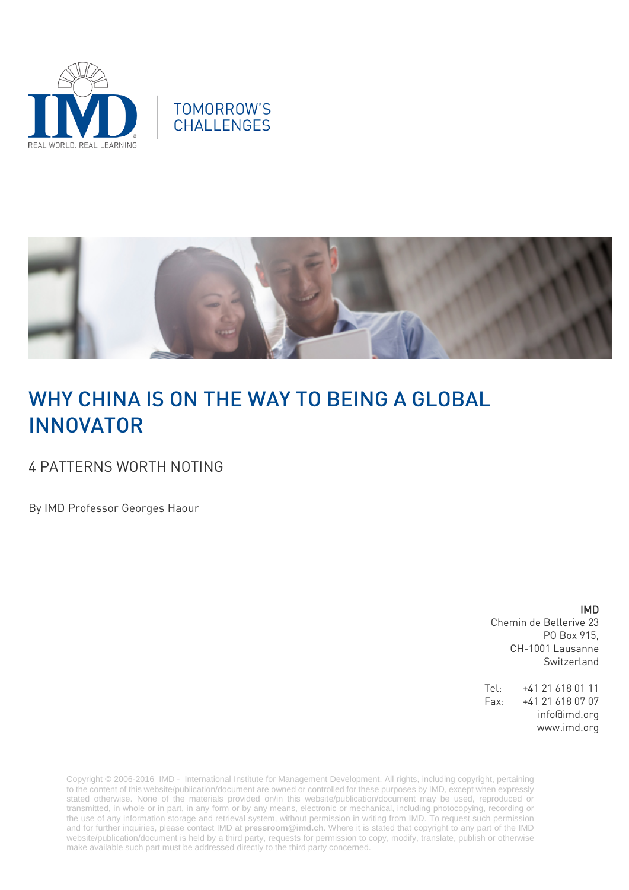





# WHY CHINA IS ON THE WAY TO BEING A GLOBAL INNOVATOR

### 4 PATTERNS WORTH NOTING

By IMD Professor Georges Haour

IMD

Chemin de Bellerive 23 PO Box 915, CH-1001 Lausanne Switzerland

Tel: +41 21 618 01 11 Fax: +41 21 618 07 07 info@imd.org www.imd.org

Copyright © 2006-2016 IMD - International Institute for Management Development. All rights, including copyright, pertaining to the content of this website/publication/document are owned or controlled for these purposes by IMD, except when expressly stated otherwise. None of the materials provided on/in this website/publication/document may be used, reproduced or transmitted, in whole or in part, in any form or by any means, electronic or mechanical, including photocopying, recording or the use of any information storage and retrieval system, without permission in writing from IMD. To request such permission and for further inquiries, please contact IMD at **[pressroom@imd.ch](mailto:pressroom@imd.ch)**. Where it is stated that copyright to any part of the IMD website/publication/document is held by a third party, requests for permission to copy, modify, translate, publish or otherwise make available such part must be addressed directly to the third party concerned.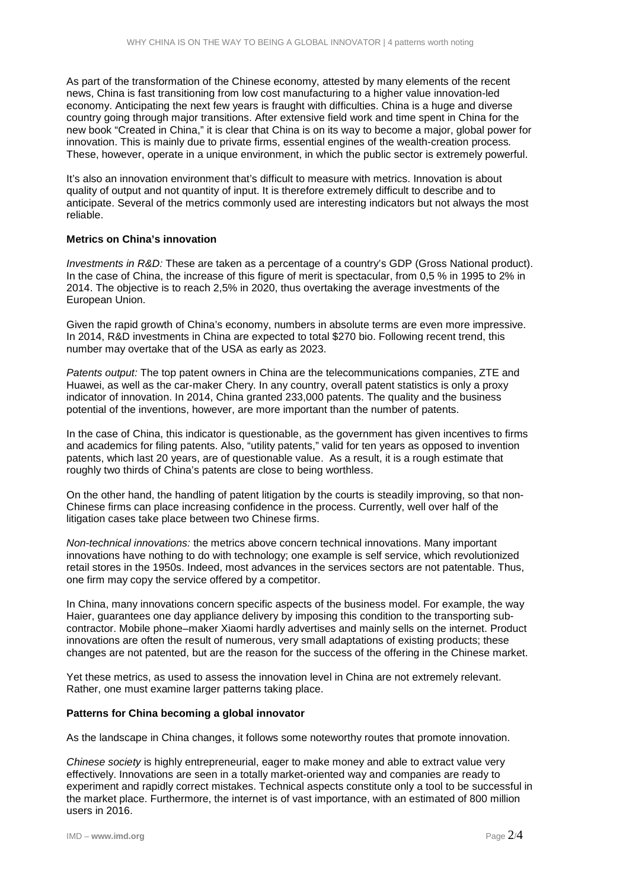As part of the transformation of the Chinese economy, attested by many elements of the recent news, China is fast transitioning from low cost manufacturing to a higher value innovation-led economy. Anticipating the next few years is fraught with difficulties. China is a huge and diverse country going through major transitions. After extensive field work and time spent in China for the new book "Created in China," it is clear that China is on its way to become a major, global power for innovation. This is mainly due to private firms, essential engines of the wealth-creation process*.* These, however, operate in a unique environment, in which the public sector is extremely powerful.

It's also an innovation environment that's difficult to measure with metrics. Innovation is about quality of output and not quantity of input. It is therefore extremely difficult to describe and to anticipate. Several of the metrics commonly used are interesting indicators but not always the most reliable.

### **Metrics on China's innovation**

*Investments in R&D:* These are taken as a percentage of a country's GDP (Gross National product). In the case of China, the increase of this figure of merit is spectacular, from 0,5 % in 1995 to 2% in 2014. The objective is to reach 2,5% in 2020, thus overtaking the average investments of the European Union.

Given the rapid growth of China's economy, numbers in absolute terms are even more impressive. In 2014, R&D investments in China are expected to total \$270 bio. Following recent trend, this number may overtake that of the USA as early as 2023.

*Patents output:* The top patent owners in China are the telecommunications companies, ZTE and Huawei, as well as the car-maker Chery. In any country, overall patent statistics is only a proxy indicator of innovation. In 2014, China granted 233,000 patents. The quality and the business potential of the inventions, however, are more important than the number of patents.

In the case of China, this indicator is questionable, as the government has given incentives to firms and academics for filing patents. Also, "utility patents," valid for ten years as opposed to invention patents, which last 20 years, are of questionable value. As a result, it is a rough estimate that roughly two thirds of China's patents are close to being worthless.

On the other hand, the handling of patent litigation by the courts is steadily improving, so that non-Chinese firms can place increasing confidence in the process. Currently, well over half of the litigation cases take place between two Chinese firms.

*Non-technical innovations:* the metrics above concern technical innovations. Many important innovations have nothing to do with technology; one example is self service, which revolutionized retail stores in the 1950s. Indeed, most advances in the services sectors are not patentable. Thus, one firm may copy the service offered by a competitor.

In China, many innovations concern specific aspects of the business model. For example, the way Haier, guarantees one day appliance delivery by imposing this condition to the transporting subcontractor. Mobile phone–maker Xiaomi hardly advertises and mainly sells on the internet. Product innovations are often the result of numerous, very small adaptations of existing products; these changes are not patented, but are the reason for the success of the offering in the Chinese market.

Yet these metrics, as used to assess the innovation level in China are not extremely relevant. Rather, one must examine larger patterns taking place.

### **Patterns for China becoming a global innovator**

As the landscape in China changes, it follows some noteworthy routes that promote innovation.

*Chinese society* is highly entrepreneurial, eager to make money and able to extract value very effectively. Innovations are seen in a totally market-oriented way and companies are ready to experiment and rapidly correct mistakes. Technical aspects constitute only a tool to be successful in the market place. Furthermore, the internet is of vast importance, with an estimated of 800 million users in 2016.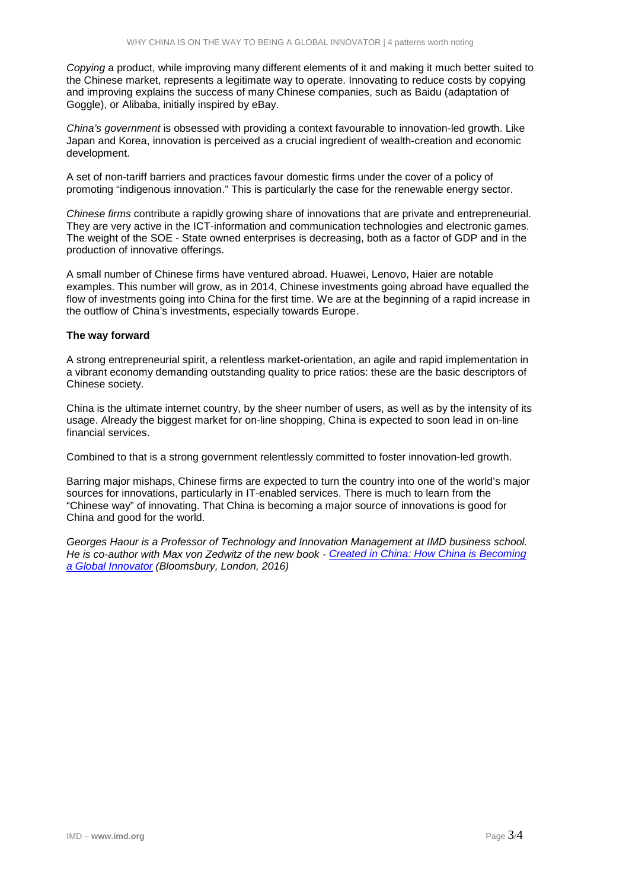*Copying* a product, while improving many different elements of it and making it much better suited to the Chinese market, represents a legitimate way to operate. Innovating to reduce costs by copying and improving explains the success of many Chinese companies, such as Baidu (adaptation of Goggle), or Alibaba, initially inspired by eBay.

*China's government* is obsessed with providing a context favourable to innovation-led growth. Like Japan and Korea, innovation is perceived as a crucial ingredient of wealth-creation and economic development.

A set of non-tariff barriers and practices favour domestic firms under the cover of a policy of promoting "indigenous innovation." This is particularly the case for the renewable energy sector.

*Chinese firms* contribute a rapidly growing share of innovations that are private and entrepreneurial. They are very active in the ICT-information and communication technologies and electronic games. The weight of the SOE - State owned enterprises is decreasing, both as a factor of GDP and in the production of innovative offerings.

A small number of Chinese firms have ventured abroad. Huawei, Lenovo, Haier are notable examples. This number will grow, as in 2014, Chinese investments going abroad have equalled the flow of investments going into China for the first time. We are at the beginning of a rapid increase in the outflow of China's investments, especially towards Europe.

### **The way forward**

A strong entrepreneurial spirit, a relentless market-orientation, an agile and rapid implementation in a vibrant economy demanding outstanding quality to price ratios: these are the basic descriptors of Chinese society.

China is the ultimate internet country, by the sheer number of users, as well as by the intensity of its usage. Already the biggest market for on-line shopping, China is expected to soon lead in on-line financial services.

Combined to that is a strong government relentlessly committed to foster innovation-led growth.

Barring major mishaps, Chinese firms are expected to turn the country into one of the world's major sources for innovations, particularly in IT-enabled services. There is much to learn from the "Chinese way" of innovating. That China is becoming a major source of innovations is good for China and good for the world.

*Georges Haour is a Professor of Technology and Innovation Management at IMD business school. He is co-author with Max von Zedwitz of the new book - [Created in China: How China is Becoming](http://www.bloomsbury.com/uk/created-in-china-9781472925138/)  [a Global Innovator](http://www.bloomsbury.com/uk/created-in-china-9781472925138/) (Bloomsbury, London, 2016)*